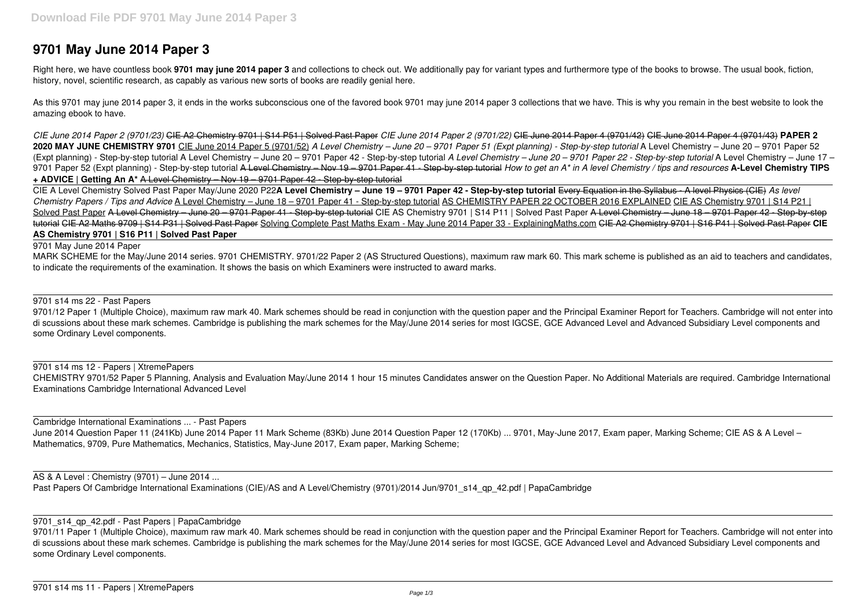# **9701 May June 2014 Paper 3**

Right here, we have countless book 9701 may june 2014 paper 3 and collections to check out. We additionally pay for variant types and furthermore type of the books to browse. The usual book, fiction, history, novel, scientific research, as capably as various new sorts of books are readily genial here.

As this 9701 may june 2014 paper 3, it ends in the works subconscious one of the favored book 9701 may june 2014 paper 3 collections that we have. This is why you remain in the best website to look the amazing ebook to have.

*CIE June 2014 Paper 2 (9701/23)* CIE A2 Chemistry 9701 | S14 P51 | Solved Past Paper *CIE June 2014 Paper 2 (9701/22)* CIE June 2014 Paper 4 (9701/42) CIE June 2014 Paper 4 (9701/43) **PAPER 2 2020 MAY JUNE CHEMISTRY 9701** CIE June 2014 Paper 5 (9701/52) *A Level Chemistry – June 20 – 9701 Paper 51 (Expt planning) - Step-by-step tutorial* A Level Chemistry – June 20 – 9701 Paper 52 (Expt planning) - Step-by-step tutorial A Level Chemistry – June 20 – 9701 Paper 42 - Step-by-step tutorial *A Level Chemistry – June 20 – 9701 Paper 22 - Step-by-step tutorial* A Level Chemistry – June 17 – 9701 Paper 52 (Expt planning) - Step-by-step tutorial A Level Chemistry – Nov 19 – 9701 Paper 41 - Step-by-step tutorial *How to get an A\* in A level Chemistry / tips and resources* **A-Level Chemistry TIPS + ADVICE | Getting An A\*** A Level Chemistry – Nov 19 – 9701 Paper 42 - Step-by-step tutorial

9701/12 Paper 1 (Multiple Choice), maximum raw mark 40. Mark schemes should be read in conjunction with the question paper and the Principal Examiner Report for Teachers. Cambridge will not enter into di scussions about these mark schemes. Cambridge is publishing the mark schemes for the May/June 2014 series for most IGCSE, GCE Advanced Level and Advanced Subsidiary Level components and some Ordinary Level components.

June 2014 Question Paper 11 (241Kb) June 2014 Paper 11 Mark Scheme (83Kb) June 2014 Question Paper 12 (170Kb) ... 9701, May-June 2017, Exam paper, Marking Scheme; CIE AS & A Level – Mathematics, 9709, Pure Mathematics, Mechanics, Statistics, May-June 2017, Exam paper, Marking Scheme;

CIE A Level Chemistry Solved Past Paper May/June 2020 P22**A Level Chemistry – June 19 – 9701 Paper 42 - Step-by-step tutorial** Every Equation in the Syllabus - A level Physics (CIE) *As level Chemistry Papers / Tips and Advice* A Level Chemistry – June 18 – 9701 Paper 41 - Step-by-step tutorial AS CHEMISTRY PAPER 22 OCTOBER 2016 EXPLAINED CIE AS Chemistry 9701 | S14 P21 | Solved Past Paper A Level Chemistry – June 20 – 9701 Paper 41 – Step-by-step tutorial CIE AS Chemistry 9701 | S14 P11 | Solved Past Paper A Level Chemistry – June 18 – 9701 Paper 42 – Step-by-step tutorial CIE A2 Maths 9709 | S14 P31 | Solved Past Paper Solving Complete Past Maths Exam - May June 2014 Paper 33 - ExplainingMaths.com CIE A2 Chemistry 9701 | S16 P41 | Solved Past Paper **CIE AS Chemistry 9701 | S16 P11 | Solved Past Paper**

9701/11 Paper 1 (Multiple Choice), maximum raw mark 40. Mark schemes should be read in conjunction with the question paper and the Principal Examiner Report for Teachers. Cambridge will not enter into di scussions about these mark schemes. Cambridge is publishing the mark schemes for the May/June 2014 series for most IGCSE, GCE Advanced Level and Advanced Subsidiary Level components and some Ordinary Level components.

#### 9701 May June 2014 Paper

MARK SCHEME for the May/June 2014 series. 9701 CHEMISTRY. 9701/22 Paper 2 (AS Structured Questions), maximum raw mark 60. This mark scheme is published as an aid to teachers and candidates, to indicate the requirements of the examination. It shows the basis on which Examiners were instructed to award marks.

9701 s14 ms 22 - Past Papers

9701 s14 ms 12 - Papers | XtremePapers CHEMISTRY 9701/52 Paper 5 Planning, Analysis and Evaluation May/June 2014 1 hour 15 minutes Candidates answer on the Question Paper. No Additional Materials are required. Cambridge International Examinations Cambridge International Advanced Level

Cambridge International Examinations ... - Past Papers

## AS & A Level : Chemistry (9701) – June 2014 ...

Past Papers Of Cambridge International Examinations (CIE)/AS and A Level/Chemistry (9701)/2014 Jun/9701 s14 qp 42.pdf | PapaCambridge

### 9701 s14 qp 42.pdf - Past Papers | PapaCambridge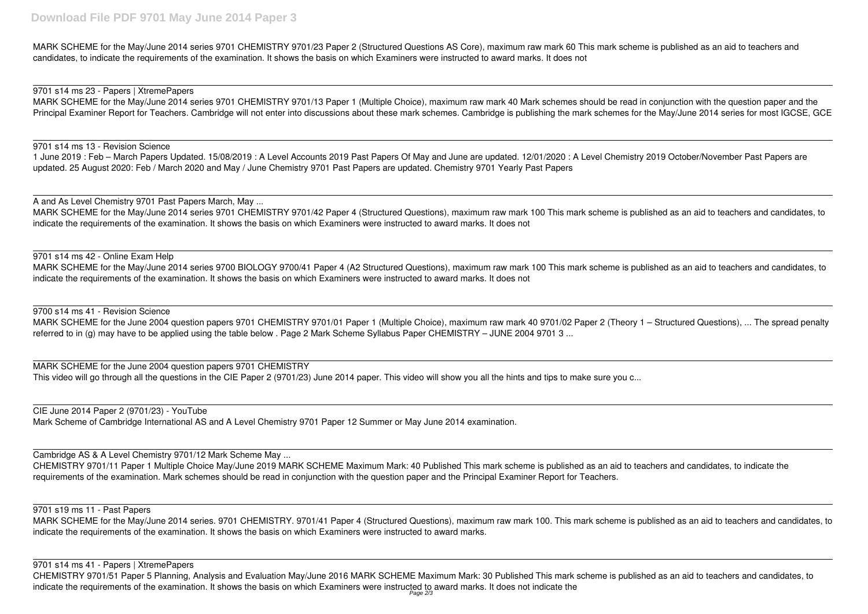MARK SCHEME for the May/June 2014 series 9701 CHEMISTRY 9701/23 Paper 2 (Structured Questions AS Core), maximum raw mark 60 This mark scheme is published as an aid to teachers and candidates, to indicate the requirements of the examination. It shows the basis on which Examiners were instructed to award marks. It does not

### 9701 s14 ms 23 - Papers | XtremePapers

MARK SCHEME for the May/June 2014 series 9701 CHEMISTRY 9701/13 Paper 1 (Multiple Choice), maximum raw mark 40 Mark schemes should be read in conjunction with the question paper and the Principal Examiner Report for Teachers. Cambridge will not enter into discussions about these mark schemes. Cambridge is publishing the mark schemes for the May/June 2014 series for most IGCSE, GCE

#### 9701 s14 ms 13 - Revision Science

1 June 2019 : Feb – March Papers Updated. 15/08/2019 : A Level Accounts 2019 Past Papers Of May and June are updated. 12/01/2020 : A Level Chemistry 2019 October/November Past Papers are updated. 25 August 2020: Feb / March 2020 and May / June Chemistry 9701 Past Papers are updated. Chemistry 9701 Yearly Past Papers

## A and As Level Chemistry 9701 Past Papers March, May ...

MARK SCHEME for the May/June 2014 series 9701 CHEMISTRY 9701/42 Paper 4 (Structured Questions), maximum raw mark 100 This mark scheme is published as an aid to teachers and candidates, to indicate the requirements of the examination. It shows the basis on which Examiners were instructed to award marks. It does not

## 9701 s14 ms 42 - Online Exam Help

CHEMISTRY 9701/51 Paper 5 Planning, Analysis and Evaluation May/June 2016 MARK SCHEME Maximum Mark: 30 Published This mark scheme is published as an aid to teachers and candidates, to indicate the requirements of the examination. It shows the basis on which Examiners were instructed to award marks. It does not indicate the

MARK SCHEME for the May/June 2014 series 9700 BIOLOGY 9700/41 Paper 4 (A2 Structured Questions), maximum raw mark 100 This mark scheme is published as an aid to teachers and candidates, to indicate the requirements of the examination. It shows the basis on which Examiners were instructed to award marks. It does not

## 9700 s14 ms 41 - Revision Science

MARK SCHEME for the June 2004 question papers 9701 CHEMISTRY 9701/01 Paper 1 (Multiple Choice), maximum raw mark 40 9701/02 Paper 2 (Theory 1 – Structured Questions), ... The spread penalty referred to in (g) may have to be applied using the table below . Page 2 Mark Scheme Syllabus Paper CHEMISTRY – JUNE 2004 9701 3 ...

MARK SCHEME for the June 2004 question papers 9701 CHEMISTRY This video will go through all the questions in the CIE Paper 2 (9701/23) June 2014 paper. This video will show you all the hints and tips to make sure you c...

CIE June 2014 Paper 2 (9701/23) - YouTube Mark Scheme of Cambridge International AS and A Level Chemistry 9701 Paper 12 Summer or May June 2014 examination.

Cambridge AS & A Level Chemistry 9701/12 Mark Scheme May ...

CHEMISTRY 9701/11 Paper 1 Multiple Choice May/June 2019 MARK SCHEME Maximum Mark: 40 Published This mark scheme is published as an aid to teachers and candidates, to indicate the requirements of the examination. Mark schemes should be read in conjunction with the question paper and the Principal Examiner Report for Teachers.

### 9701 s19 ms 11 - Past Papers

MARK SCHEME for the May/June 2014 series. 9701 CHEMISTRY. 9701/41 Paper 4 (Structured Questions), maximum raw mark 100. This mark scheme is published as an aid to teachers and candidates, to indicate the requirements of the examination. It shows the basis on which Examiners were instructed to award marks.

9701 s14 ms 41 - Papers | XtremePapers